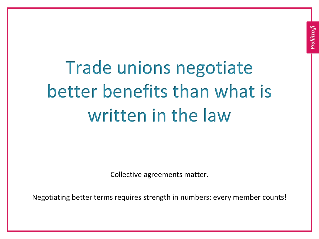Trade unions negotiate better benefits than what is written in the law

Collective agreements matter.

Negotiating better terms requires strength in numbers: every member counts!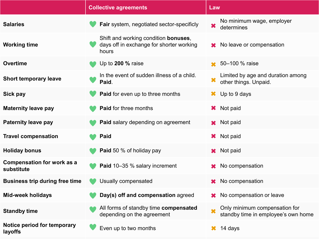|                                                 | <b>Collective agreements</b>                                                                      | Law                                                                  |
|-------------------------------------------------|---------------------------------------------------------------------------------------------------|----------------------------------------------------------------------|
| <b>Salaries</b>                                 | Fair system, negotiated sector-specificly                                                         | No minimum wage, employer<br>$\bm{\times}$<br>determines             |
| <b>Working time</b>                             | Shift and working condition <b>bonuses</b> ,<br>days off in exchange for shorter working<br>hours | <b>★</b> No leave or compensation                                    |
| <b>Overtime</b>                                 | Up to $200\%$ raise                                                                               | 50-100 % raise                                                       |
| <b>Short temporary leave</b>                    | In the event of sudden illness of a child.<br>Paid.                                               | Limited by age and duration among<br>other things. Unpaid.           |
| Sick pay                                        | <b>Paid</b> for even up to three months                                                           | Up to 9 days<br>$\mathbf{x}$                                         |
| <b>Maternity leave pay</b>                      | <b>Paid for three months</b>                                                                      | Not paid<br>×.                                                       |
| <b>Paternity leave pay</b>                      | <b>Paid salary depending on agreement</b>                                                         | <b>x</b> Not paid                                                    |
| <b>Travel compensation</b>                      | <b>Paid</b>                                                                                       | <b>*</b> Not paid                                                    |
| <b>Holiday bonus</b>                            | <b>Paid</b> 50 % of holiday pay                                                                   | <b>*</b> Not paid                                                    |
| <b>Compensation for work as a</b><br>substitute | <b>Paid 10-35 % salary increment</b>                                                              | No compensation                                                      |
| <b>Business trip during free time</b>           | Usually compensated                                                                               | No compensation<br>X.                                                |
| <b>Mid-week holidays</b>                        | Day(s) off and compensation agreed                                                                | No compensation or leave                                             |
| <b>Standby time</b>                             | All forms of standby time compensated<br>depending on the agreement                               | Only minimum compensation for<br>standby time in employee's own home |
| Notice period for temporary<br>layoffs          | Even up to two months                                                                             | 14 days                                                              |